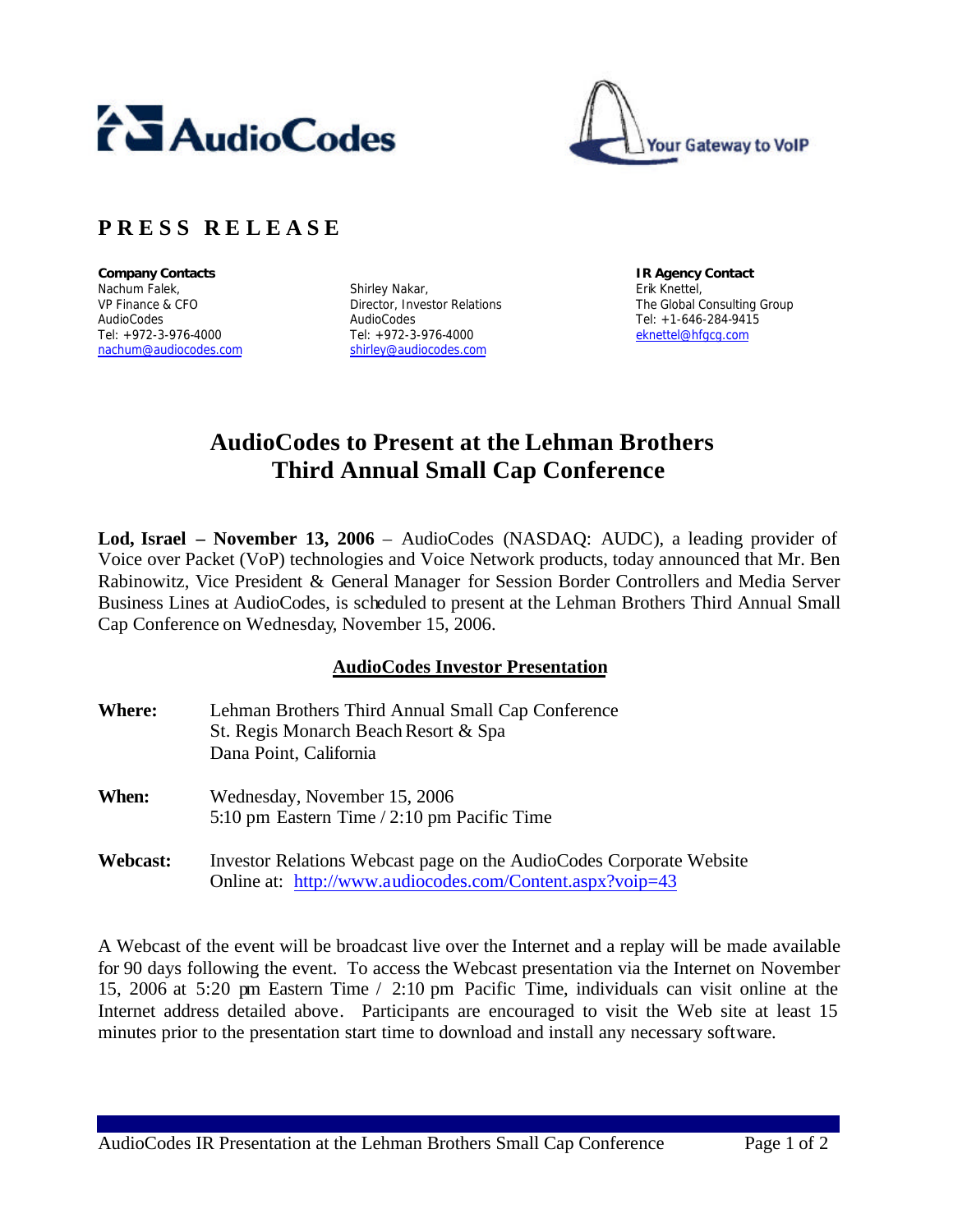



## **P R E S S R E L E A S E**

**Company Contacts IR Agency Contact** Nachum Falek, VP Finance & CFO AudioCodes Tel: +972-3-976-4000 nachum@audiocodes.com

Shirley Nakar, Director, Investor Relations AudioCodes Tel: +972-3-976-4000 shirley@audiocodes.com

Erik Knettel, The Global Consulting Group Tel: +1-646-284-9415 eknettel@hfgcg.com

# **AudioCodes to Present at the Lehman Brothers Third Annual Small Cap Conference**

**Lod, Israel – November 13, 2006** – AudioCodes (NASDAQ: AUDC), a leading provider of Voice over Packet (VoP) technologies and Voice Network products, today announced that Mr. Ben Rabinowitz, Vice President & General Manager for Session Border Controllers and Media Server Business Lines at AudioCodes, is scheduled to present at the Lehman Brothers Third Annual Small Cap Conference on Wednesday, November 15, 2006.

### **AudioCodes Investor Presentation**

| <b>Where:</b> | Lehman Brothers Third Annual Small Cap Conference<br>St. Regis Monarch Beach Resort & Spa<br>Dana Point, California              |
|---------------|----------------------------------------------------------------------------------------------------------------------------------|
| When:         | Wednesday, November 15, 2006<br>5:10 pm Eastern Time / 2:10 pm Pacific Time                                                      |
| Webcast:      | Investor Relations Webcast page on the AudioCodes Corporate Website<br>Online at: http://www.audiocodes.com/Content.aspx?voip=43 |

A Webcast of the event will be broadcast live over the Internet and a replay will be made available for 90 days following the event. To access the Webcast presentation via the Internet on November 15, 2006 at 5:20 pm Eastern Time / 2:10 pm Pacific Time, individuals can visit online at the Internet address detailed above. Participants are encouraged to visit the Web site at least 15 minutes prior to the presentation start time to download and install any necessary software.